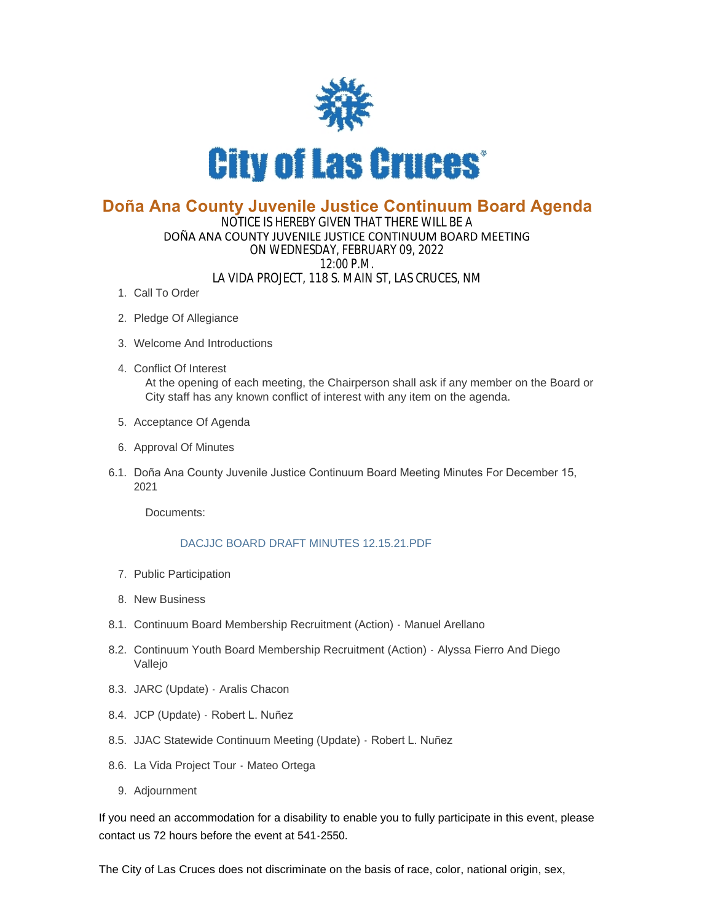

## **Doña Ana County Juvenile Justice Continuum Board Agenda**

## NOTICE IS HEREBY GIVEN THAT THERE WILL BE A DOÑA ANA COUNTY JUVENILE JUSTICE CONTINUUM BOARD MEETING ON WEDNESDAY, FEBRUARY 09, 2022 12:00 P.M. LA VIDA PROJECT, 118 S. MAIN ST, LAS CRUCES, NM

- 1. Call To Order
- 2. Pledge Of Allegiance
- Welcome And Introductions 3.
- Conflict Of Interest 4. At the opening of each meeting, the Chairperson shall ask if any member on the Board or City staff has any known conflict of interest with any item on the agenda.
- 5. Acceptance Of Agenda
- 6. Approval Of Minutes
- 6.1. Doña Ana County Juvenile Justice Continuum Board Meeting Minutes For December 15, 2021

Documents:

## [DACJJC BOARD DRAFT MINUTES 12.15.21.PDF](https://www.las-cruces.org/AgendaCenter/ViewFile/Item/8436?fileID=14255)

- 7. Public Participation
- 8. New Business
- 8.1. Continuum Board Membership Recruitment (Action) Manuel Arellano
- 8.2. Continuum Youth Board Membership Recruitment (Action) Alyssa Fierro And Diego Vallejo
- 8.3. JARC (Update) Aralis Chacon
- 8.4. JCP (Update) Robert L. Nuñez
- 8.5. JJAC Statewide Continuum Meeting (Update) Robert L. Nuñez
- 8.6. La Vida Project Tour Mateo Ortega
	- 9. Adjournment

If you need an accommodation for a disability to enable you to fully participate in this event, please contact us 72 hours before the event at 541-2550.

The City of Las Cruces does not discriminate on the basis of race, color, national origin, sex,